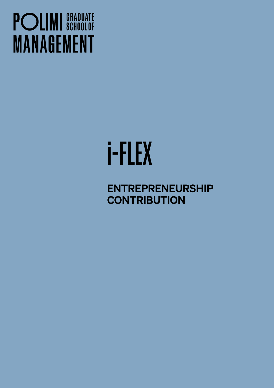## **POLIMI** SCHOOLOF **MANAGEMENT**

# i-FLEX

ENTREPRENEURSHIP **CONTRIBUTION**